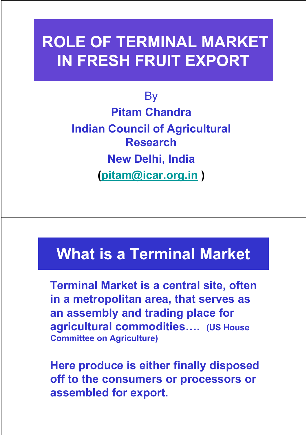# ROLE OF TERMINAL MARKET IN FRESH FRUIT EXPORT

**By** Pitam Chandra Indian Council of Agricultural Research New Delhi, India (pitam@icar.org.in )

## What is a Terminal Market

Terminal Market is a central site, often in a metropolitan area, that serves as an assembly and trading place for agricultural commodities…. (US House Committee on Agriculture)

Here produce is either finally disposed off to the consumers or processors or assembled for export.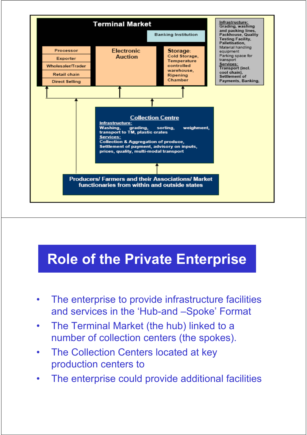

#### Role of the Private Enterprise

- The enterprise to provide infrastructure facilities and services in the 'Hub-and –Spoke' Format
- The Terminal Market (the hub) linked to a number of collection centers (the spokes).
- The Collection Centers located at key production centers to
- The enterprise could provide additional facilities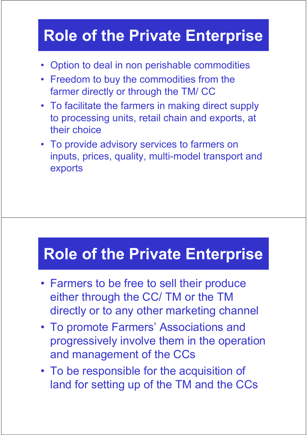## Role of the Private Enterprise

- Option to deal in non perishable commodities
- Freedom to buy the commodities from the farmer directly or through the TM/ CC
- To facilitate the farmers in making direct supply to processing units, retail chain and exports, at their choice
- To provide advisory services to farmers on inputs, prices, quality, multi-model transport and exports

## Role of the Private Enterprise

- Farmers to be free to sell their produce either through the CC/ TM or the TM directly or to any other marketing channel
- To promote Farmers' Associations and progressively involve them in the operation and management of the CCs
- To be responsible for the acquisition of land for setting up of the TM and the CCs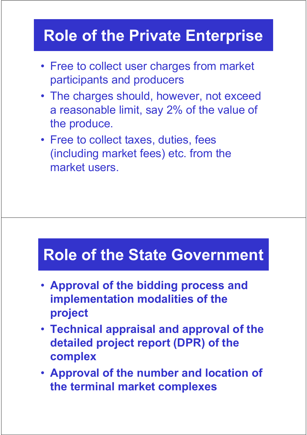# Role of the Private Enterprise Role of the Private Enterprise

- Free to collect user charges from market participants and producers
- The charges should, however, not exceed a reasonable limit, say 2% of the value of the produce.
- Free to collect taxes, duties, fees (including market fees) etc. from the market users.

#### Role of the State Government

- Approval of the bidding process and implementation modalities of the project
- Technical appraisal and approval of the detailed project report (DPR) of the complex
- Approval of the number and location of the terminal market complexes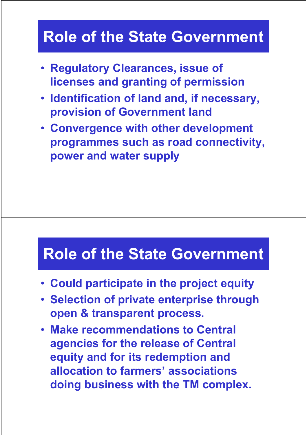## Role of the State Government

- Regulatory Clearances, issue of licenses and granting of permission
- Identification of land and, if necessary, provision of Government land
- Convergence with other development programmes such as road connectivity, power and water supply

#### Role of the State Government

- Could participate in the project equity
- Selection of private enterprise through open & transparent process.
- Make recommendations to Central agencies for the release of Central equity and for its redemption and allocation to farmers' associations doing business with the TM complex.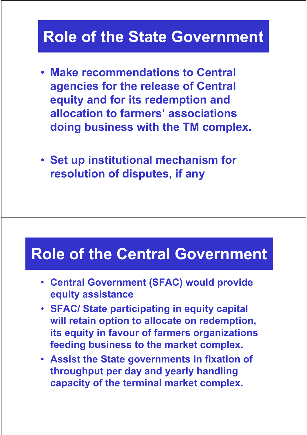#### Role of the State Government

- Make recommendations to Central agencies for the release of Central equity and for its redemption and allocation to farmers' associations doing business with the TM complex.
- Set up institutional mechanism for resolution of disputes, if any

#### Role of the Central Government

- Central Government (SFAC) would provide equity assistance
- SFAC/ State participating in equity capital will retain option to allocate on redemption, its equity in favour of farmers organizations feeding business to the market complex.
- Assist the State governments in fixation of throughput per day and yearly handling capacity of the terminal market complex.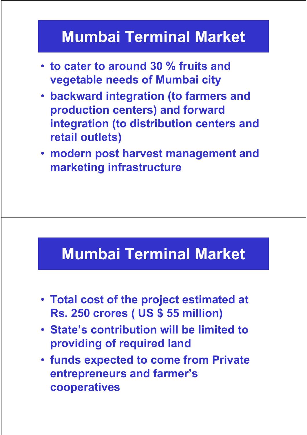## Mumbai Terminal Market

- to cater to around 30 % fruits and vegetable needs of Mumbai city
- backward integration (to farmers and production centers) and forward integration (to distribution centers and retail outlets)
- modern post harvest management and marketing infrastructure

### Mumbai Terminal Market

- Total cost of the project estimated at Rs. 250 crores ( US \$ 55 million)
- State's contribution will be limited to providing of required land
- funds expected to come from Private entrepreneurs and farmer's cooperatives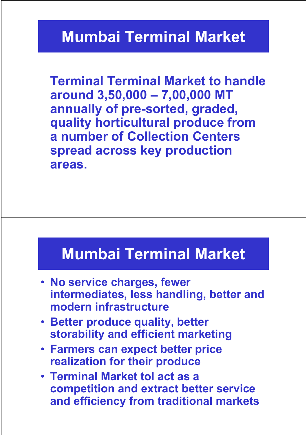#### Mumbai Terminal Market

Terminal Terminal Market to handle around 3,50,000 – 7,00,000 MT annually of pre-sorted, graded, quality horticultural produce from a number of Collection Centers spread across key production areas.

#### Mumbai Terminal Market

- No service charges, fewer intermediates, less handling, better and modern infrastructure
- Better produce quality, better storability and efficient marketing
- Farmers can expect better price realization for their produce
- Terminal Market tol act as a competition and extract better service and efficiency from traditional markets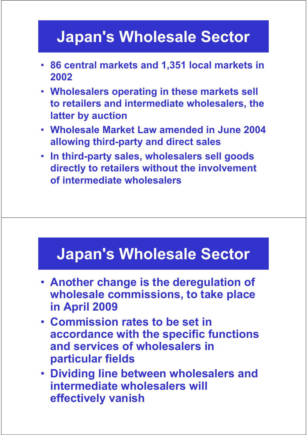## Japan's Wholesale Sector

- 86 central markets and 1,351 local markets in 2002
- Wholesalers operating in these markets sell to retailers and intermediate wholesalers, the latter by auction
- Wholesale Market Law amended in June 2004 allowing third-party and direct sales
- In third-party sales, wholesalers sell goods directly to retailers without the involvement of intermediate wholesalers

### Japan's Wholesale Sector

- Another change is the deregulation of wholesale commissions, to take place in April 2009
- Commission rates to be set in accordance with the specific functions and services of wholesalers in particular fields
- Dividing line between wholesalers and intermediate wholesalers will effectively vanish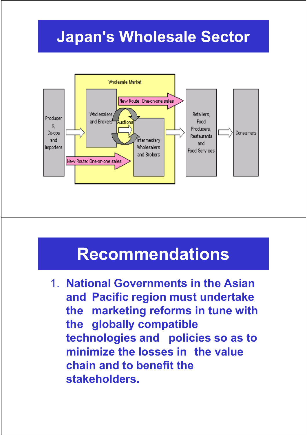## Japan's Wholesale Sector



## Recommendations

1. National Governments in the Asian and Pacific region must undertake the marketing reforms in tune with the globally compatible technologies and policies so as to minimize the losses in the value chain and to benefit the stakeholders.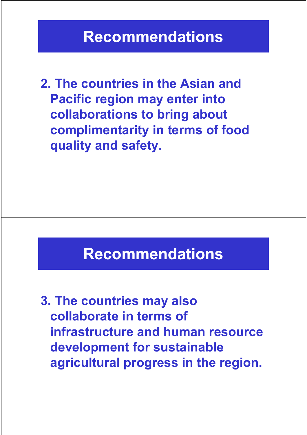2. The countries in the Asian and Pacific region may enter into collaborations to bring about complimentarity in terms of food quality and safety.

#### Recommendations

3. The countries may also collaborate in terms of infrastructure and human resource development for sustainable agricultural progress in the region.